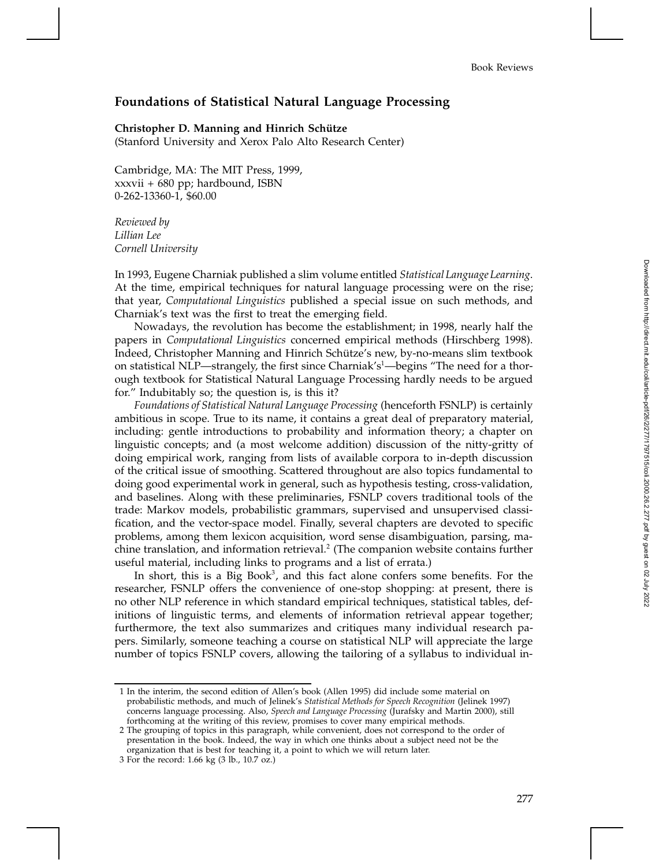## **Foundations of Statistical Natural Language Processing**

## **Christopher D. Manning and Hinrich Schütze**

(Stanford University and Xerox Palo Alto Research Center)

Cambridge, MA: The MIT Press, 1999, xxxvii + 680 pp; hardbound, ISBN 0-262-13360-1, \$60.00

*Reviewed by Lillian Lee Cornell University*

In 1993, Eugene Charniak published a slim volume entitled *Statistical Language Learning*. At the time, empirical techniques for natural language processing were on the rise; that year, *Computational Linguistics* published a special issue on such methods, and Charniak's text was the first to treat the emerging field.

Nowadays, the revolution has become the establishment; in 1998, nearly half the papers in *Computational Linguistics* concerned empirical methods (Hirschberg 1998). Indeed, Christopher Manning and Hinrich Schütze's new, by-no-means slim textbook on statistical NLP—strangely, the first since Charniak's<sup>1</sup>—begins "The need for a thorough textbook for Statistical Natural Language Processing hardly needs to be argued for." Indubitably so; the question is, is this it?

*Foundations of Statistical Natural Language Processing* (henceforth FSNLP) is certainly ambitious in scope. True to its name, it contains a great deal of preparatory material, including: gentle introductions to probability and information theory; a chapter on linguistic concepts; and (a most welcome addition) discussion of the nitty-gritty of doing empirical work, ranging from lists of available corpora to in-depth discussion of the critical issue of smoothing. Scattered throughout are also topics fundamental to doing good experimental work in general, such as hypothesis testing, cross-validation, and baselines. Along with these preliminaries, FSNLP covers traditional tools of the trade: Markov models, probabilistic grammars, supervised and unsupervised classification, and the vector-space model. Finally, several chapters are devoted to specific problems, among them lexicon acquisition, word sense disambiguation, parsing, machine translation, and information retrieval.<sup>2</sup> (The companion website contains further useful material, including links to programs and a list of errata.)

In short, this is a Big Book<sup>3</sup>, and this fact alone confers some benefits. For the researcher, FSNLP offers the convenience of one-stop shopping: at present, there is no other NLP reference in which standard empirical techniques, statistical tables, definitions of linguistic terms, and elements of information retrieval appear together; furthermore, the text also summarizes and critiques many individual research papers. Similarly, someone teaching a course on statistical NLP will appreciate the large number of topics FSNLP covers, allowing the tailoring of a syllabus to individual in-

<sup>1</sup> In the interim, the second edition of Allen's book (Allen 1995) did include some material on probabilistic methods, and much of Jelinek's *Statistical Methods for Speech Recognition* (Jelinek 1997) concerns language processing. Also, *Speech and Language Processing* (Jurafsky and Martin 2000), still forthcoming at the writing of this review, promises to cover many empirical methods.

<sup>2</sup> The grouping of topics in this paragraph, while convenient, does not correspond to the order of presentation in the book. Indeed, the way in which one thinks about a subject need not be the organization that is best for teaching it, a point to which we will return later.

<sup>3</sup> For the record: 1.66 kg (3 lb., 10.7 oz.)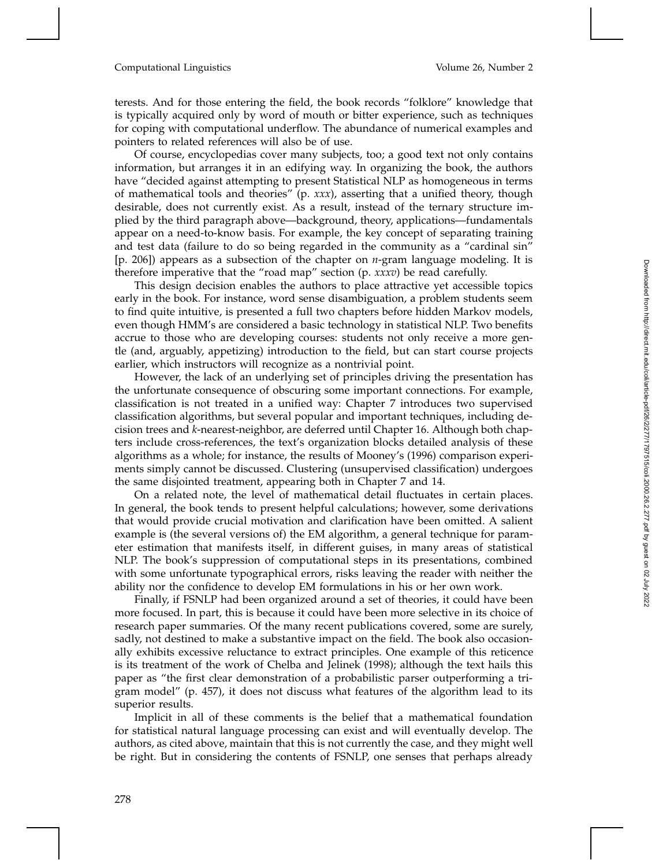## Computational Linguistics Volume 26, Number 2

terests. And for those entering the field, the book records "folklore" knowledge that is typically acquired only by word of mouth or bitter experience, such as techniques for coping with computational underflow. The abundance of numerical examples and pointers to related references will also be of use.

Of course, encyclopedias cover many subjects, too; a good text not only contains information, but arranges it in an edifying way. In organizing the book, the authors have "decided against attempting to present Statistical NLP as homogeneous in terms of mathematical tools and theories" (p. *xxx*), asserting that a unified theory, though desirable, does not currently exist. As a result, instead of the ternary structure implied by the third paragraph above—background, theory, applications—fundamentals appear on a need-to-know basis. For example, the key concept of separating training and test data (failure to do so being regarded in the community as a "cardinal sin" [p. 206]) appears as a subsection of the chapter on *n*-gram language modeling. It is therefore imperative that the "road map" section (p. *xxxv*) be read carefully.

This design decision enables the authors to place attractive yet accessible topics early in the book. For instance, word sense disambiguation, a problem students seem to find quite intuitive, is presented a full two chapters before hidden Markov models, even though HMM's are considered a basic technology in statistical NLP. Two benefits accrue to those who are developing courses: students not only receive a more gentle (and, arguably, appetizing) introduction to the field, but can start course projects earlier, which instructors will recognize as a nontrivial point.

However, the lack of an underlying set of principles driving the presentation has the unfortunate consequence of obscuring some important connections. For example, classification is not treated in a unified way: Chapter 7 introduces two supervised classification algorithms, but several popular and important techniques, including decision trees and *k*-nearest-neighbor, are deferred until Chapter 16. Although both chapters include cross-references, the text's organization blocks detailed analysis of these algorithms as a whole; for instance, the results of Mooney's (1996) comparison experiments simply cannot be discussed. Clustering (unsupervised classification) undergoes the same disjointed treatment, appearing both in Chapter 7 and 14.

On a related note, the level of mathematical detail fluctuates in certain places. In general, the book tends to present helpful calculations; however, some derivations that would provide crucial motivation and clarification have been omitted. A salient example is (the several versions of) the EM algorithm, a general technique for parameter estimation that manifests itself, in different guises, in many areas of statistical NLP. The book's suppression of computational steps in its presentations, combined with some unfortunate typographical errors, risks leaving the reader with neither the ability nor the confidence to develop EM formulations in his or her own work.

Finally, if FSNLP had been organized around a set of theories, it could have been more focused. In part, this is because it could have been more selective in its choice of research paper summaries. Of the many recent publications covered, some are surely, sadly, not destined to make a substantive impact on the field. The book also occasionally exhibits excessive reluctance to extract principles. One example of this reticence is its treatment of the work of Chelba and Jelinek (1998); although the text hails this paper as "the first clear demonstration of a probabilistic parser outperforming a trigram model" (p. 457), it does not discuss what features of the algorithm lead to its superior results.

Implicit in all of these comments is the belief that a mathematical foundation for statistical natural language processing can exist and will eventually develop. The authors, as cited above, maintain that this is not currently the case, and they might well be right. But in considering the contents of FSNLP, one senses that perhaps already